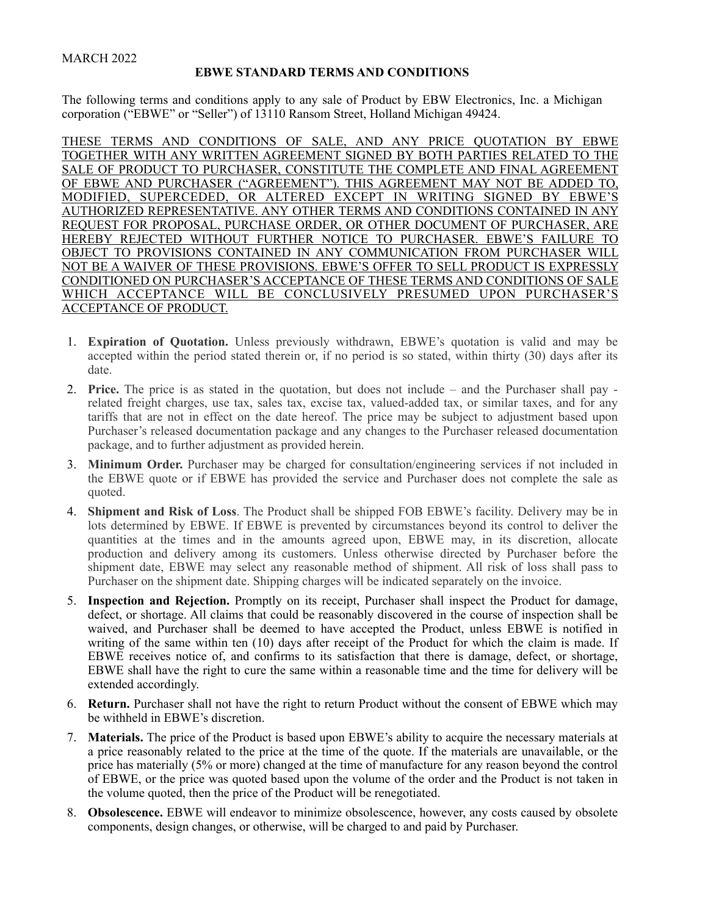## MARCH 2022

## **EBWE STANDARD TERMS AND CONDITIONS**

The following terms and conditions apply to any sale of Product by EBW Electronics, Inc. a Michigan corporation ("EBWE" or "Seller") of 13110 Ransom Street, Holland Michigan 49424.

THESE TERMS AND CONDITIONS OF SALE, AND ANY PRICE QUOTATION BY EBWE TOGETHER WITH ANY WRITTEN AGREEMENT SIGNED BY BOTH PARTIES RELATED TO THE SALE OF PRODUCT TO PURCHASER, CONSTITUTE THE COMPLETE AND FINAL AGREEMENT OF EBWE AND PURCHASER ("AGREEMENT"). THIS AGREEMENT MAY NOT BE ADDED TO, MODIFIED, SUPERCEDED, OR ALTERED EXCEPT IN WRITING SIGNED BY EBWE'S AUTHORIZED REPRESENTATIVE. ANY OTHER TERMS AND CONDITIONS CONTAINED IN ANY REQUEST FOR PROPOSAL, PURCHASE ORDER, OR OTHER DOCUMENT OF PURCHASER, ARE HEREBY REJECTED WITHOUT FURTHER NOTICE TO PURCHASER. EBWE'S FAILURE TO OBJECT TO PROVISIONS CONTAINED IN ANY COMMUNICATION FROM PURCHASER WILL NOT BE A WAIVER OF THESE PROVISIONS. EBWE'S OFFER TO SELL PRODUCT IS EXPRESSLY CONDITIONED ON PURCHASER'S ACCEPTANCE OF THESE TERMS AND CONDITIONS OF SALE WHICH ACCEPTANCE WILL BE CONCLUSIVELY PRESUMED UPON PURCHASER'S ACCEPTANCE OF PRODUCT.

- 1. **Expiration of Quotation.** Unless previously withdrawn, EBWE's quotation is valid and may be accepted within the period stated therein or, if no period is so stated, within thirty (30) days after its date.
- 2. **Price.** The price is as stated in the quotation, but does not include and the Purchaser shall pay related freight charges, use tax, sales tax, excise tax, valued-added tax, or similar taxes, and for any tariffs that are not in effect on the date hereof. The price may be subject to adjustment based upon Purchaser's released documentation package and any changes to the Purchaser released documentation package, and to further adjustment as provided herein.
- 3. **Minimum Order.** Purchaser may be charged for consultation/engineering services if not included in the EBWE quote or if EBWE has provided the service and Purchaser does not complete the sale as quoted.
- 4. **Shipment and Risk of Loss**. The Product shall be shipped FOB EBWE's facility. Delivery may be in lots determined by EBWE. If EBWE is prevented by circumstances beyond its control to deliver the quantities at the times and in the amounts agreed upon, EBWE may, in its discretion, allocate production and delivery among its customers. Unless otherwise directed by Purchaser before the shipment date, EBWE may select any reasonable method of shipment. All risk of loss shall pass to Purchaser on the shipment date. Shipping charges will be indicated separately on the invoice.
- 5. **Inspection and Rejection.** Promptly on its receipt, Purchaser shall inspect the Product for damage, defect, or shortage. All claims that could be reasonably discovered in the course of inspection shall be waived, and Purchaser shall be deemed to have accepted the Product, unless EBWE is notified in writing of the same within ten (10) days after receipt of the Product for which the claim is made. If EBWE receives notice of, and confirms to its satisfaction that there is damage, defect, or shortage, EBWE shall have the right to cure the same within a reasonable time and the time for delivery will be extended accordingly.
- 6. **Return.** Purchaser shall not have the right to return Product without the consent of EBWE which may be withheld in EBWE's discretion.
- 7. **Materials.** The price of the Product is based upon EBWE's ability to acquire the necessary materials at a price reasonably related to the price at the time of the quote. If the materials are unavailable, or the price has materially (5% or more) changed at the time of manufacture for any reason beyond the control of EBWE, or the price was quoted based upon the volume of the order and the Product is not taken in the volume quoted, then the price of the Product will be renegotiated.
- 8. **Obsolescence.** EBWE will endeavor to minimize obsolescence, however, any costs caused by obsolete components, design changes, or otherwise, will be charged to and paid by Purchaser.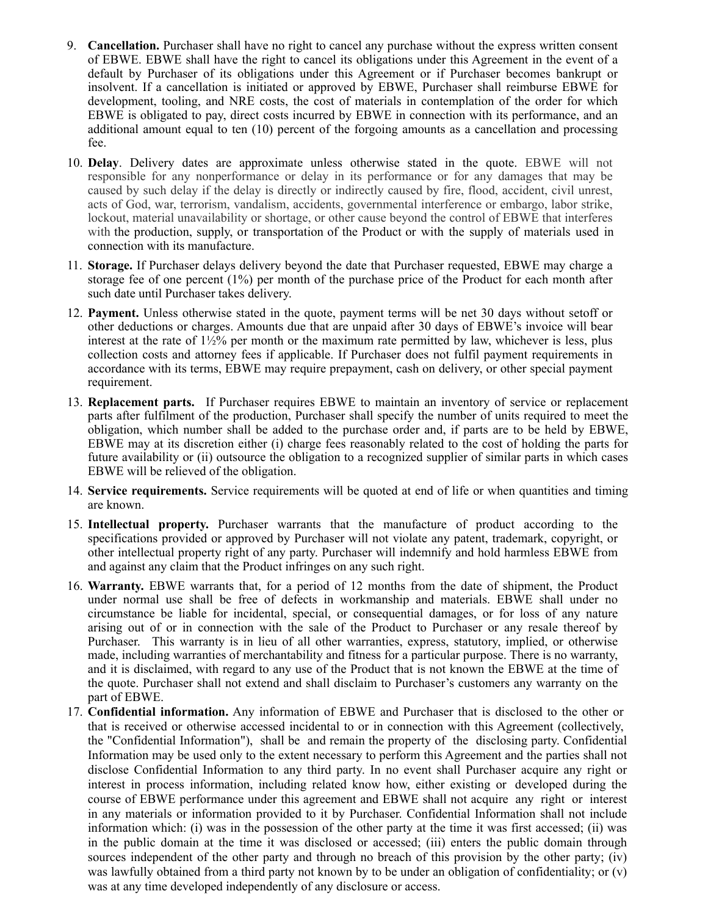- 9. **Cancellation.** Purchaser shall have no right to cancel any purchase without the express written consent of EBWE. EBWE shall have the right to cancel its obligations under this Agreement in the event of a default by Purchaser of its obligations under this Agreement or if Purchaser becomes bankrupt or insolvent. If a cancellation is initiated or approved by EBWE, Purchaser shall reimburse EBWE for development, tooling, and NRE costs, the cost of materials in contemplation of the order for which EBWE is obligated to pay, direct costs incurred by EBWE in connection with its performance, and an additional amount equal to ten (10) percent of the forgoing amounts as a cancellation and processing fee.
- 10. **Delay**. Delivery dates are approximate unless otherwise stated in the quote. EBWE will not responsible for any nonperformance or delay in its performance or for any damages that may be caused by such delay if the delay is directly or indirectly caused by fire, flood, accident, civil unrest, acts of God, war, terrorism, vandalism, accidents, governmental interference or embargo, labor strike, lockout, material unavailability or shortage, or other cause beyond the control of EBWE that interferes with the production, supply, or transportation of the Product or with the supply of materials used in connection with its manufacture.
- 11. **Storage.** If Purchaser delays delivery beyond the date that Purchaser requested, EBWE may charge a storage fee of one percent (1%) per month of the purchase price of the Product for each month after such date until Purchaser takes delivery.
- 12. **Payment.** Unless otherwise stated in the quote, payment terms will be net 30 days without setoff or other deductions or charges. Amounts due that are unpaid after 30 days of EBWE's invoice will bear interest at the rate of  $1\frac{1}{2}\%$  per month or the maximum rate permitted by law, whichever is less, plus collection costs and attorney fees if applicable. If Purchaser does not fulfil payment requirements in accordance with its terms, EBWE may require prepayment, cash on delivery, or other special payment requirement.
- 13. **Replacement parts.** If Purchaser requires EBWE to maintain an inventory of service or replacement parts after fulfilment of the production, Purchaser shall specify the number of units required to meet the obligation, which number shall be added to the purchase order and, if parts are to be held by EBWE, EBWE may at its discretion either (i) charge fees reasonably related to the cost of holding the parts for future availability or (ii) outsource the obligation to a recognized supplier of similar parts in which cases EBWE will be relieved of the obligation.
- 14. **Service requirements.** Service requirements will be quoted at end of life or when quantities and timing are known.
- 15. **Intellectual property.** Purchaser warrants that the manufacture of product according to the specifications provided or approved by Purchaser will not violate any patent, trademark, copyright, or other intellectual property right of any party. Purchaser will indemnify and hold harmless EBWE from and against any claim that the Product infringes on any such right.
- 16. **Warranty.** EBWE warrants that, for a period of 12 months from the date of shipment, the Product under normal use shall be free of defects in workmanship and materials. EBWE shall under no circumstance be liable for incidental, special, or consequential damages, or for loss of any nature arising out of or in connection with the sale of the Product to Purchaser or any resale thereof by Purchaser. This warranty is in lieu of all other warranties, express, statutory, implied, or otherwise made, including warranties of merchantability and fitness for a particular purpose. There is no warranty, and it is disclaimed, with regard to any use of the Product that is not known the EBWE at the time of the quote. Purchaser shall not extend and shall disclaim to Purchaser's customers any warranty on the part of EBWE.
- 17. **Confidential information.** Any information of EBWE and Purchaser that is disclosed to the other or that is received or otherwise accessed incidental to or in connection with this Agreement (collectively, the "Confidential Information"), shall be and remain the property of the disclosing party. Confidential Information may be used only to the extent necessary to perform this Agreement and the parties shall not disclose Confidential Information to any third party. In no event shall Purchaser acquire any right or interest in process information, including related know how, either existing or developed during the course of EBWE performance under this agreement and EBWE shall not acquire any right or interest in any materials or information provided to it by Purchaser. Confidential Information shall not include information which: (i) was in the possession of the other party at the time it was first accessed; (ii) was in the public domain at the time it was disclosed or accessed; (iii) enters the public domain through sources independent of the other party and through no breach of this provision by the other party; (iv) was lawfully obtained from a third party not known by to be under an obligation of confidentiality; or (v) was at any time developed independently of any disclosure or access.